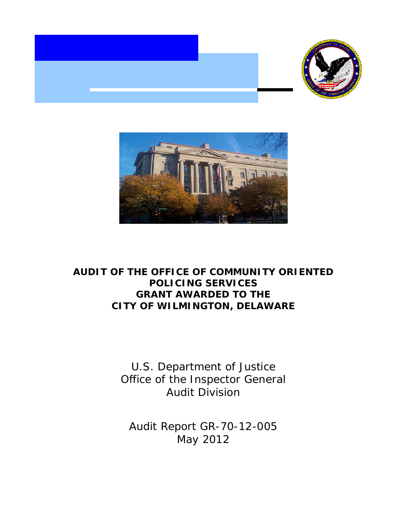



# **AUDIT OF THE OFFICE OF COMMUNITY ORIENTED POLICING SERVICES GRANT AWARDED TO THE CITY OF WILMINGTON, DELAWARE**

U.S. Department of Justice Office of the Inspector General Audit Division

Audit Report GR-70-12-005 May 2012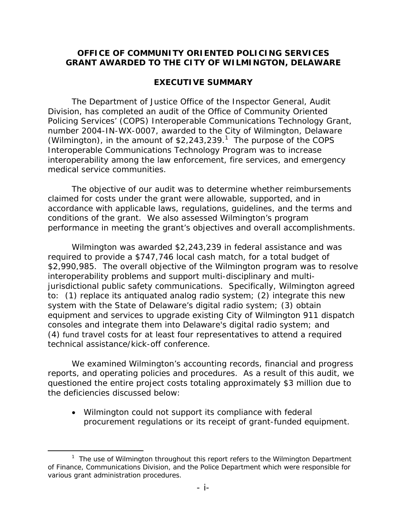## **OFFICE OF COMMUNITY ORIENTED POLICING SERVICES GRANT AWARDED TO THE CITY OF WILMINGTON, DELAWARE**

## **EXECUTIVE SUMMARY**

The Department of Justice Office of the Inspector General, Audit Division, has completed an audit of the Office of Community Oriented Policing Services' (COPS) Interoperable Communications Technology Grant, number 2004-IN-WX-0007, awarded to the City of Wilmington, Delaware (Wilmington), in the amount of  $$2,243,239<sup>1</sup>$ . The purpose of the COPS Interoperable Communications Technology Program was to increase interoperability among the law enforcement, fire services, and emergency medical service communities.

The objective of our audit was to determine whether reimbursements claimed for costs under the grant were allowable, supported, and in accordance with applicable laws, regulations, guidelines, and the terms and conditions of the grant. We also assessed Wilmington's program performance in meeting the grant's objectives and overall accomplishments.

Wilmington was awarded \$2,243,239 in federal assistance and was required to provide a \$747,746 local cash match, for a total budget of \$2,990,985. The overall objective of the Wilmington program was to resolve interoperability problems and support multi-disciplinary and multijurisdictional public safety communications. Specifically, Wilmington agreed to: (1) replace its antiquated analog radio system; (2) integrate this new system with the State of Delaware's digital radio system; (3) obtain equipment and services to upgrade existing City of Wilmington 911 dispatch consoles and integrate them into Delaware's digital radio system; and (4) fund travel costs for at least four representatives to attend a required technical assistance/kick-off conference.

We examined Wilmington's accounting records, financial and progress reports, and operating policies and procedures. As a result of this audit, we questioned the entire project costs totaling approximately \$3 million due to the deficiencies discussed below:

 Wilmington could not support its compliance with federal procurement regulations or its receipt of grant-funded equipment.

 $\overline{a}$ 

<sup>&</sup>lt;sup>1</sup> The use of Wilmington throughout this report refers to the Wilmington Department of Finance, Communications Division, and the Police Department which were responsible for various grant administration procedures.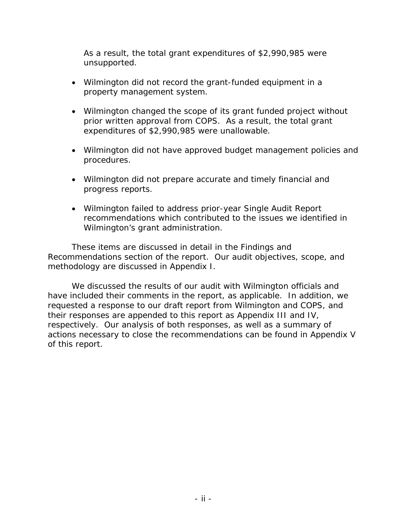As a result, the total grant expenditures of \$2,990,985 were unsupported.

- Wilmington did not record the grant-funded equipment in a property management system.
- Wilmington changed the scope of its grant funded project without prior written approval from COPS. As a result, the total grant expenditures of \$2,990,985 were unallowable.
- Wilmington did not have approved budget management policies and procedures.
- Wilmington did not prepare accurate and timely financial and progress reports.
- Wilmington failed to address prior-year Single Audit Report recommendations which contributed to the issues we identified in Wilmington's grant administration.

These items are discussed in detail in the Findings and Recommendations section of the report. Our audit objectives, scope, and methodology are discussed in Appendix I.

We discussed the results of our audit with Wilmington officials and have included their comments in the report, as applicable. In addition, we requested a response to our draft report from Wilmington and COPS, and their responses are appended to this report as Appendix III and IV, respectively. Our analysis of both responses, as well as a summary of actions necessary to close the recommendations can be found in Appendix V of this report.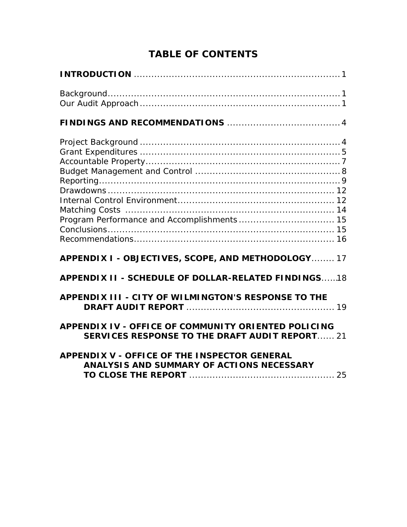| Program Performance and Accomplishments 15                                                                          |
|---------------------------------------------------------------------------------------------------------------------|
| APPENDIX I - OBJECTIVES, SCOPE, AND METHODOLOGY 17                                                                  |
| <b>APPENDIX II - SCHEDULE OF DOLLAR-RELATED FINDINGS18</b>                                                          |
| APPENDIX III - CITY OF WILMINGTON'S RESPONSE TO THE                                                                 |
| <b>APPENDIX IV - OFFICE OF COMMUNITY ORIENTED POLICING</b><br><b>SERVICES RESPONSE TO THE DRAFT AUDIT REPORT 21</b> |
| <b>APPENDIX V - OFFICE OF THE INSPECTOR GENERAL</b><br>ANALYSIS AND SUMMARY OF ACTIONS NECESSARY                    |

# **TABLE OF CONTENTS**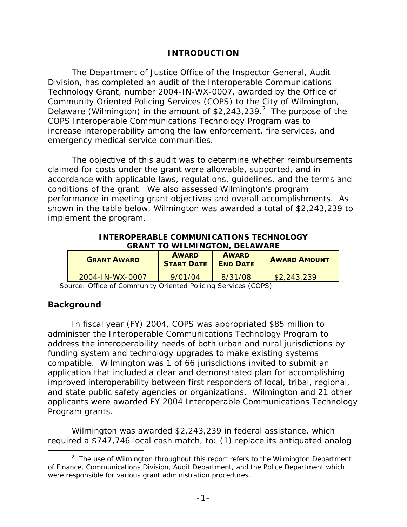## **INTRODUCTION**

The Department of Justice Office of the Inspector General, Audit Division, has completed an audit of the Interoperable Communications Technology Grant, number 2004-IN-WX-0007, awarded by the Office of Community Oriented Policing Services (COPS) to the City of Wilmington, Delaware (Wilmington) in the amount of  $$2,243,239.<sup>2</sup>$  The purpose of the COPS Interoperable Communications Technology Program was to increase interoperability among the law enforcement, fire services, and emergency medical service communities.

The objective of this audit was to determine whether reimbursements claimed for costs under the grant were allowable, supported, and in accordance with applicable laws, regulations, guidelines, and the terms and conditions of the grant. We also assessed Wilmington's program performance in meeting grant objectives and overall accomplishments. As shown in the table below, Wilmington was awarded a total of \$2,243,239 to implement the program.

**INTEROPERABLE COMMUNICATIONS TECHNOLOGY GRANT TO WILMINGTON, DELAWARE** 

| <b>GRANT AWARD</b> | <b>AWARD</b><br><b>START DATE</b> | <b>AWARD</b><br><b>END DATE</b> | <b>AWARD AMOUNT</b> |
|--------------------|-----------------------------------|---------------------------------|---------------------|
| 2004-IN-WX-0007    | 9/01/04                           | 8/31/08                         | \$2,243,239         |

Source: Office of Community Oriented Policing Services (COPS)

## **Background**

 $\overline{a}$ 

In fiscal year (FY) 2004, COPS was appropriated \$85 million to administer the Interoperable Communications Technology Program to address the interoperability needs of both urban and rural jurisdictions by funding system and technology upgrades to make existing systems compatible. Wilmington was 1 of 66 jurisdictions invited to submit an application that included a clear and demonstrated plan for accomplishing improved interoperability between first responders of local, tribal, regional, and state public safety agencies or organizations. Wilmington and 21 other applicants were awarded FY 2004 Interoperable Communications Technology Program grants.

Wilmington was awarded \$2,243,239 in federal assistance, which required a \$747,746 local cash match, to: (1) replace its antiquated analog

<sup>&</sup>lt;sup>2</sup> The use of Wilmington throughout this report refers to the Wilmington Department of Finance, Communications Division, Audit Department, and the Police Department which were responsible for various grant administration procedures.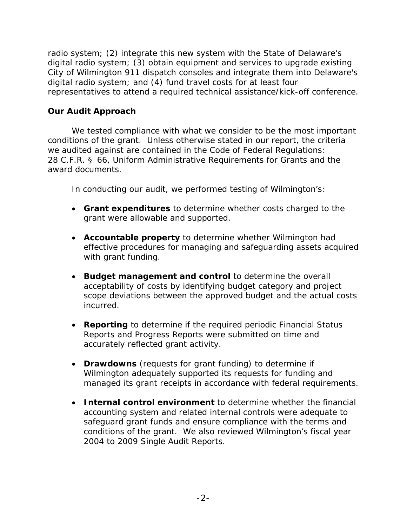radio system; (2) integrate this new system with the State of Delaware's digital radio system; (3) obtain equipment and services to upgrade existing City of Wilmington 911 dispatch consoles and integrate them into Delaware's digital radio system; and (4) fund travel costs for at least four representatives to attend a required technical assistance/kick-off conference.

## **Our Audit Approach**

We tested compliance with what we consider to be the most important conditions of the grant. Unless otherwise stated in our report, the criteria we audited against are contained in the Code of Federal Regulations: 28 C.F.R. § 66, Uniform Administrative Requirements for Grants and the award documents.

In conducting our audit, we performed testing of Wilmington's:

- **Grant expenditures** to determine whether costs charged to the grant were allowable and supported.
- **Accountable property** to determine whether Wilmington had effective procedures for managing and safeguarding assets acquired with grant funding.
- **Budget management and control** to determine the overall acceptability of costs by identifying budget category and project scope deviations between the approved budget and the actual costs incurred.
- **Reporting** to determine if the required periodic Financial Status Reports and Progress Reports were submitted on time and accurately reflected grant activity.
- **Drawdowns** (requests for grant funding) to determine if Wilmington adequately supported its requests for funding and managed its grant receipts in accordance with federal requirements.
- **Internal control environment** to determine whether the financial accounting system and related internal controls were adequate to safeguard grant funds and ensure compliance with the terms and conditions of the grant. We also reviewed Wilmington's fiscal year 2004 to 2009 Single Audit Reports.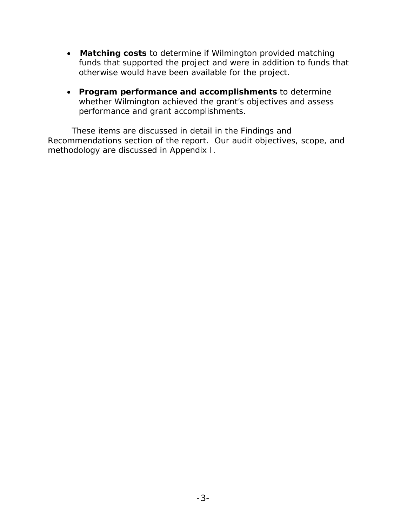- **Matching costs** to determine if Wilmington provided matching funds that supported the project and were in addition to funds that otherwise would have been available for the project.
- **Program performance and accomplishments** to determine whether Wilmington achieved the grant's objectives and assess performance and grant accomplishments.

These items are discussed in detail in the Findings and Recommendations section of the report. Our audit objectives, scope, and methodology are discussed in Appendix I.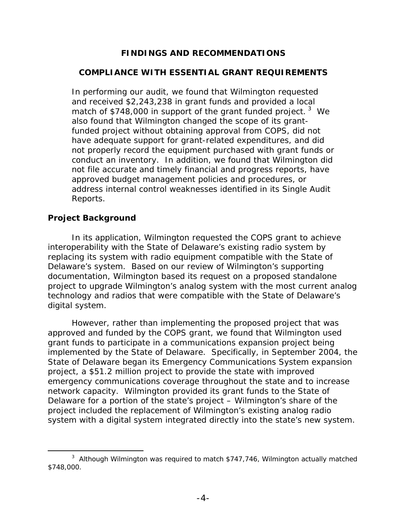## **FINDINGS AND RECOMMENDATIONS**

## **COMPLIANCE WITH ESSENTIAL GRANT REQUIREMENTS**

In performing our audit, we found that Wilmington requested and received \$2,243,238 in grant funds and provided a local match of \$748,000 in support of the grant funded project.<sup>3</sup> We also found that Wilmington changed the scope of its grantfunded project without obtaining approval from COPS, did not have adequate support for grant-related expenditures, and did not properly record the equipment purchased with grant funds or conduct an inventory. In addition, we found that Wilmington did not file accurate and timely financial and progress reports, have approved budget management policies and procedures, or address internal control weaknesses identified in its Single Audit Reports.

## **Project Background**

 $\overline{a}$ 

In its application, Wilmington requested the COPS grant to achieve interoperability with the State of Delaware's existing radio system by replacing its system with radio equipment compatible with the State of Delaware's system. Based on our review of Wilmington's supporting documentation, Wilmington based its request on a proposed standalone project to upgrade Wilmington's analog system with the most current analog technology and radios that were compatible with the State of Delaware's digital system.

However, rather than implementing the proposed project that was approved and funded by the COPS grant, we found that Wilmington used grant funds to participate in a communications expansion project being implemented by the State of Delaware. Specifically, in September 2004, the State of Delaware began its Emergency Communications System expansion project, a \$51.2 million project to provide the state with improved emergency communications coverage throughout the state and to increase network capacity. Wilmington provided its grant funds to the State of Delaware for a portion of the state's project – Wilmington's share of the project included the replacement of Wilmington's existing analog radio system with a digital system integrated directly into the state's new system.

 $3$  Although Wilmington was required to match \$747,746, Wilmington actually matched \$748,000.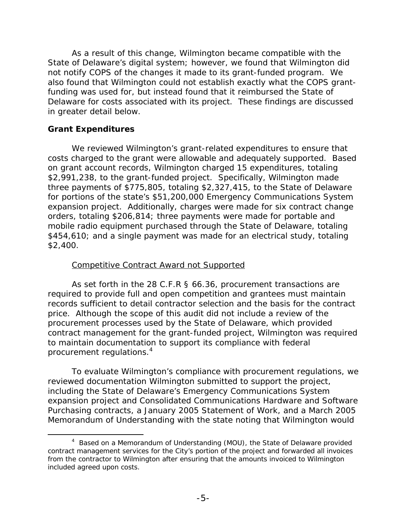As a result of this change, Wilmington became compatible with the State of Delaware's digital system; however, we found that Wilmington did not notify COPS of the changes it made to its grant-funded program. We also found that Wilmington could not establish exactly what the COPS grantfunding was used for, but instead found that it reimbursed the State of Delaware for costs associated with its project. These findings are discussed in greater detail below.

## **Grant Expenditures**

-

We reviewed Wilmington's grant-related expenditures to ensure that costs charged to the grant were allowable and adequately supported. Based on grant account records, Wilmington charged 15 expenditures, totaling \$2,991,238, to the grant-funded project. Specifically, Wilmington made three payments of \$775,805, totaling \$2,327,415, to the State of Delaware for portions of the state's \$51,200,000 Emergency Communications System expansion project. Additionally, charges were made for six contract change orders, totaling \$206,814; three payments were made for portable and mobile radio equipment purchased through the State of Delaware, totaling \$454,610; and a single payment was made for an electrical study, totaling \$2,400.

## Competitive Contract Award not Supported

procurement regulations.<sup>4</sup> As set forth in the 28 C.F.R § 66.36, procurement transactions are required to provide full and open competition and grantees must maintain records sufficient to detail contractor selection and the basis for the contract price. Although the scope of this audit did not include a review of the procurement processes used by the State of Delaware, which provided contract management for the grant-funded project, Wilmington was required to maintain documentation to support its compliance with federal

To evaluate Wilmington's compliance with procurement regulations, we reviewed documentation Wilmington submitted to support the project, including the State of Delaware's Emergency Communications System expansion project and Consolidated Communications Hardware and Software Purchasing contracts, a January 2005 Statement of Work, and a March 2005 Memorandum of Understanding with the state noting that Wilmington would

<sup>&</sup>lt;sup>4</sup> Based on a Memorandum of Understanding (MOU), the State of Delaware provided contract management services for the City's portion of the project and forwarded all invoices from the contractor to Wilmington after ensuring that the amounts invoiced to Wilmington included agreed upon costs.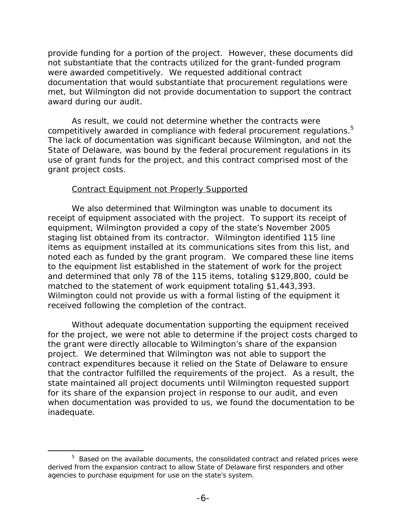provide funding for a portion of the project. However, these documents did not substantiate that the contracts utilized for the grant-funded program were awarded competitively. We requested additional contract documentation that would substantiate that procurement regulations were met, but Wilmington did not provide documentation to support the contract award during our audit.

competitively awarded in compliance with federal procurement regulations.<sup>5</sup> grant project costs. As result, we could not determine whether the contracts were The lack of documentation was significant because Wilmington, and not the State of Delaware, was bound by the federal procurement regulations in its use of grant funds for the project, and this contract comprised most of the

## Contract Equipment not Properly Supported

We also determined that Wilmington was unable to document its receipt of equipment associated with the project. To support its receipt of equipment, Wilmington provided a copy of the state's November 2005 staging list obtained from its contractor. Wilmington identified 115 line items as equipment installed at its communications sites from this list, and noted each as funded by the grant program. We compared these line items to the equipment list established in the statement of work for the project and determined that only 78 of the 115 items, totaling \$129,800, could be matched to the statement of work equipment totaling \$1,443,393. Wilmington could not provide us with a formal listing of the equipment it received following the completion of the contract.

Without adequate documentation supporting the equipment received for the project, we were not able to determine if the project costs charged to the grant were directly allocable to Wilmington's share of the expansion project. We determined that Wilmington was not able to support the contract expenditures because it relied on the State of Delaware to ensure that the contractor fulfilled the requirements of the project. As a result, the state maintained all project documents until Wilmington requested support for its share of the expansion project in response to our audit, and even when documentation was provided to us, we found the documentation to be inadequate.

 $\overline{a}$ 

<sup>&</sup>lt;sup>5</sup> Based on the available documents, the consolidated contract and related prices were derived from the expansion contract to allow State of Delaware first responders and other agencies to purchase equipment for use on the state's system.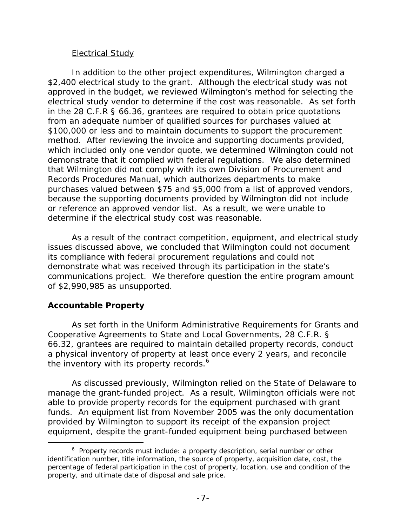## **Electrical Study**

In addition to the other project expenditures, Wilmington charged a \$2,400 electrical study to the grant. Although the electrical study was not approved in the budget, we reviewed Wilmington's method for selecting the electrical study vendor to determine if the cost was reasonable. As set forth in the 28 C.F.R § 66.36, grantees are required to obtain price quotations from an adequate number of qualified sources for purchases valued at \$100,000 or less and to maintain documents to support the procurement method. After reviewing the invoice and supporting documents provided, which included only one vendor quote, we determined Wilmington could not demonstrate that it complied with federal regulations. We also determined that Wilmington did not comply with its own Division of Procurement and Records Procedures Manual, which authorizes departments to make purchases valued between \$75 and \$5,000 from a list of approved vendors, because the supporting documents provided by Wilmington did not include or reference an approved vendor list. As a result, we were unable to determine if the electrical study cost was reasonable.

As a result of the contract competition, equipment, and electrical study issues discussed above, we concluded that Wilmington could not document its compliance with federal procurement regulations and could not demonstrate what was received through its participation in the state's communications project. We therefore question the entire program amount of \$2,990,985 as unsupported.

## **Accountable Property**

 $\overline{a}$ 

As set forth in the Uniform Administrative Requirements for Grants and Cooperative Agreements to State and Local Governments, 28 C.F.R. § 66.32, grantees are required to maintain detailed property records, conduct a physical inventory of property at least once every 2 years, and reconcile the inventory with its property records.<sup>6</sup>

As discussed previously, Wilmington relied on the State of Delaware to manage the grant-funded project. As a result, Wilmington officials were not able to provide property records for the equipment purchased with grant funds. An equipment list from November 2005 was the only documentation provided by Wilmington to support its receipt of the expansion project equipment, despite the grant-funded equipment being purchased between

 $6$  Property records must include: a property description, serial number or other identification number, title information, the source of property, acquisition date, cost, the percentage of federal participation in the cost of property, location, use and condition of the property, and ultimate date of disposal and sale price.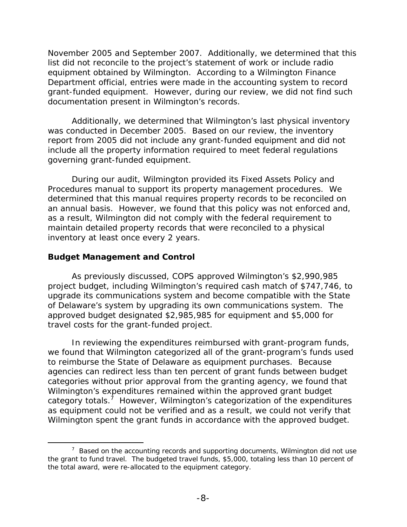November 2005 and September 2007. Additionally, we determined that this list did not reconcile to the project's statement of work or include radio equipment obtained by Wilmington. According to a Wilmington Finance Department official, entries were made in the accounting system to record grant-funded equipment. However, during our review, we did not find such documentation present in Wilmington's records.

Additionally, we determined that Wilmington's last physical inventory was conducted in December 2005. Based on our review, the inventory report from 2005 did not include any grant-funded equipment and did not include all the property information required to meet federal regulations governing grant-funded equipment.

During our audit, Wilmington provided its Fixed Assets Policy and Procedures manual to support its property management procedures. We determined that this manual requires property records to be reconciled on an annual basis. However, we found that this policy was not enforced and, as a result, Wilmington did not comply with the federal requirement to maintain detailed property records that were reconciled to a physical inventory at least once every 2 years.

## **Budget Management and Control**

 $\overline{a}$ 

As previously discussed, COPS approved Wilmington's \$2,990,985 project budget, including Wilmington's required cash match of \$747,746, to upgrade its communications system and become compatible with the State of Delaware's system by upgrading its own communications system. The approved budget designated \$2,985,985 for equipment and \$5,000 for travel costs for the grant-funded project.

In reviewing the expenditures reimbursed with grant-program funds, we found that Wilmington categorized all of the grant-program's funds used to reimburse the State of Delaware as equipment purchases. Because agencies can redirect less than ten percent of grant funds between budget categories without prior approval from the granting agency, we found that Wilmington's expenditures remained within the approved grant budget category totals.<sup>7</sup> However, Wilmington's categorization of the expenditures as equipment could not be verified and as a result, we could not verify that Wilmington spent the grant funds in accordance with the approved budget.

 $7$  Based on the accounting records and supporting documents, Wilmington did not use the grant to fund travel. The budgeted travel funds, \$5,000, totaling less than 10 percent of the total award, were re-allocated to the equipment category.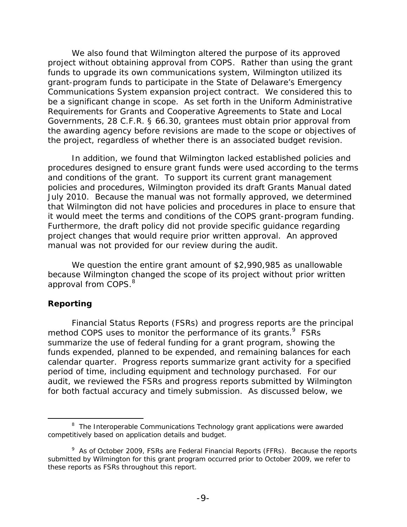We also found that Wilmington altered the purpose of its approved project without obtaining approval from COPS. Rather than using the grant funds to upgrade its own communications system, Wilmington utilized its grant-program funds to participate in the State of Delaware's Emergency Communications System expansion project contract. We considered this to be a significant change in scope. As set forth in the Uniform Administrative Requirements for Grants and Cooperative Agreements to State and Local Governments, 28 C.F.R. § 66.30, grantees must obtain prior approval from the awarding agency before revisions are made to the scope or objectives of the project, regardless of whether there is an associated budget revision.

In addition, we found that Wilmington lacked established policies and procedures designed to ensure grant funds were used according to the terms and conditions of the grant. To support its current grant management policies and procedures, Wilmington provided its draft Grants Manual dated July 2010. Because the manual was not formally approved, we determined that Wilmington did not have policies and procedures in place to ensure that it would meet the terms and conditions of the COPS grant-program funding. Furthermore, the draft policy did not provide specific guidance regarding project changes that would require prior written approval. An approved manual was not provided for our review during the audit.

approval from COPS.<sup>8</sup> We question the entire grant amount of \$2,990,985 as unallowable because Wilmington changed the scope of its project without prior written

## **Reporting**

-

Financial Status Reports (FSRs) and progress reports are the principal method COPS uses to monitor the performance of its grants.<sup>9</sup> FSRs summarize the use of federal funding for a grant program, showing the funds expended, planned to be expended, and remaining balances for each calendar quarter. Progress reports summarize grant activity for a specified period of time, including equipment and technology purchased. For our audit, we reviewed the FSRs and progress reports submitted by Wilmington for both factual accuracy and timely submission. As discussed below, we

<sup>&</sup>lt;sup>8</sup> The Interoperable Communications Technology grant applications were awarded competitively based on application details and budget.

<sup>&</sup>lt;sup>9</sup> As of October 2009, FSRs are Federal Financial Reports (FFRs). Because the reports submitted by Wilmington for this grant program occurred prior to October 2009, we refer to these reports as FSRs throughout this report.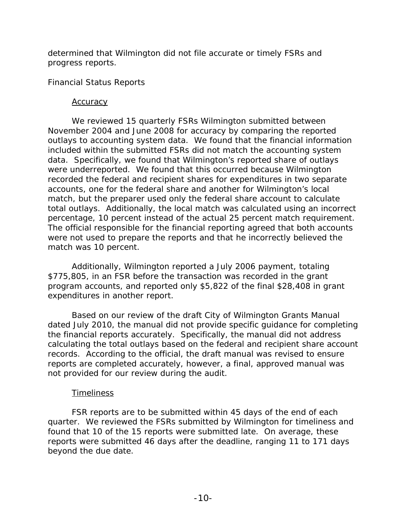determined that Wilmington did not file accurate or timely FSRs and progress reports.

## *Financial Status Reports*

### **Accuracy**

We reviewed 15 quarterly FSRs Wilmington submitted between November 2004 and June 2008 for accuracy by comparing the reported outlays to accounting system data. We found that the financial information included within the submitted FSRs did not match the accounting system data. Specifically, we found that Wilmington's reported share of outlays were underreported. We found that this occurred because Wilmington recorded the federal and recipient shares for expenditures in two separate accounts, one for the federal share and another for Wilmington's local match, but the preparer used only the federal share account to calculate total outlays. Additionally, the local match was calculated using an incorrect percentage, 10 percent instead of the actual 25 percent match requirement. The official responsible for the financial reporting agreed that both accounts were not used to prepare the reports and that he incorrectly believed the match was 10 percent.

Additionally, Wilmington reported a July 2006 payment, totaling \$775,805, in an FSR before the transaction was recorded in the grant program accounts, and reported only \$5,822 of the final \$28,408 in grant expenditures in another report.

Based on our review of the draft City of Wilmington Grants Manual dated July 2010, the manual did not provide specific guidance for completing the financial reports accurately. Specifically, the manual did not address calculating the total outlays based on the federal and recipient share account records. According to the official, the draft manual was revised to ensure reports are completed accurately, however, a final, approved manual was not provided for our review during the audit.

### Timeliness

FSR reports are to be submitted within 45 days of the end of each quarter. We reviewed the FSRs submitted by Wilmington for timeliness and found that 10 of the 15 reports were submitted late. On average, these reports were submitted 46 days after the deadline, ranging 11 to 171 days beyond the due date.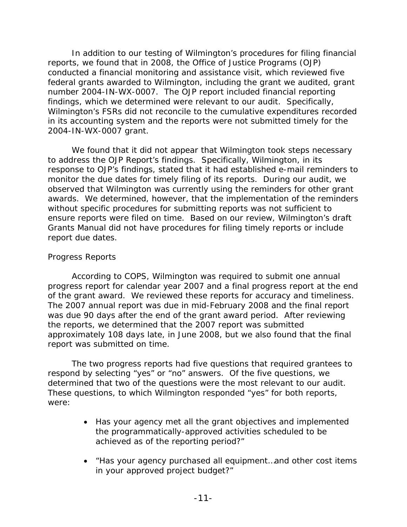In addition to our testing of Wilmington's procedures for filing financial reports, we found that in 2008, the Office of Justice Programs (OJP) conducted a financial monitoring and assistance visit, which reviewed five federal grants awarded to Wilmington, including the grant we audited, grant number 2004-IN-WX-0007. The OJP report included financial reporting findings, which we determined were relevant to our audit. Specifically, Wilmington's FSRs did not reconcile to the cumulative expenditures recorded in its accounting system and the reports were not submitted timely for the 2004-IN-WX-0007 grant.

We found that it did not appear that Wilmington took steps necessary to address the OJP Report's findings. Specifically, Wilmington, in its response to OJP's findings, stated that it had established e-mail reminders to monitor the due dates for timely filing of its reports. During our audit, we observed that Wilmington was currently using the reminders for other grant awards. We determined, however, that the implementation of the reminders without specific procedures for submitting reports was not sufficient to ensure reports were filed on time. Based on our review, Wilmington's draft Grants Manual did not have procedures for filing timely reports or include report due dates.

## Progress Reports

According to COPS, Wilmington was required to submit one annual progress report for calendar year 2007 and a final progress report at the end of the grant award. We reviewed these reports for accuracy and timeliness. The 2007 annual report was due in mid-February 2008 and the final report was due 90 days after the end of the grant award period. After reviewing the reports, we determined that the 2007 report was submitted approximately 108 days late, in June 2008, but we also found that the final report was submitted on time.

The two progress reports had five questions that required grantees to respond by selecting "yes" or "no" answers. Of the five questions, we determined that two of the questions were the most relevant to our audit. These questions, to which Wilmington responded "yes" for both reports, were:

- Has your agency met all the grant objectives and implemented the programmatically-approved activities scheduled to be achieved as of the reporting period?"
- "Has your agency purchased all equipment…and other cost items in your approved project budget?"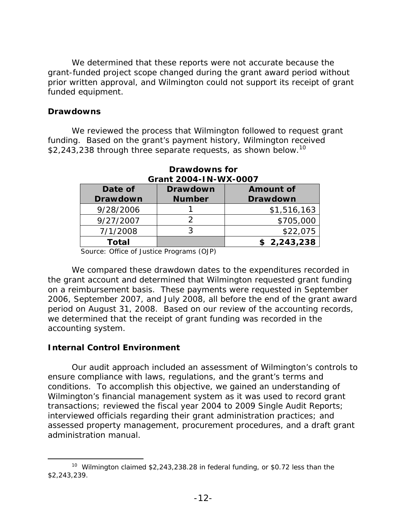We determined that these reports were not accurate because the grant-funded project scope changed during the grant award period without prior written approval, and Wilmington could not support its receipt of grant funded equipment.

### **Drawdowns**

\$2,243,238 through three separate requests, as shown below.<sup>10</sup> We reviewed the process that Wilmington followed to request grant funding. Based on the grant's payment history, Wilmington received

| Date of<br><b>Drawdown</b> | <b>Drawdown</b><br><b>Number</b> | <b>Amount of</b><br><b>Drawdown</b> |
|----------------------------|----------------------------------|-------------------------------------|
| 9/28/2006                  |                                  | \$1,516,163                         |
| 9/27/2007                  |                                  | \$705,000                           |
| 7/1/2008                   |                                  | \$22,075                            |
| Total                      |                                  | \$2,243,238                         |

### **Drawdowns for Grant 2004-IN-WX-0007**

Source: Office of Justice Programs (OJP)

We compared these drawdown dates to the expenditures recorded in the grant account and determined that Wilmington requested grant funding on a reimbursement basis. These payments were requested in September 2006, September 2007, and July 2008, all before the end of the grant award period on August 31, 2008. Based on our review of the accounting records, we determined that the receipt of grant funding was recorded in the accounting system.

### **Internal Control Environment**

-

Our audit approach included an assessment of Wilmington's controls to ensure compliance with laws, regulations, and the grant's terms and conditions. To accomplish this objective, we gained an understanding of Wilmington's financial management system as it was used to record grant transactions; reviewed the fiscal year 2004 to 2009 Single Audit Reports; interviewed officials regarding their grant administration practices; and assessed property management, procurement procedures, and a draft grant administration manual.

<sup>\$2,243,239.</sup> <sup>10</sup> Wilmington claimed \$2,243,238.28 in federal funding, or \$0.72 less than the  $$2,243,239.$  -12- $$$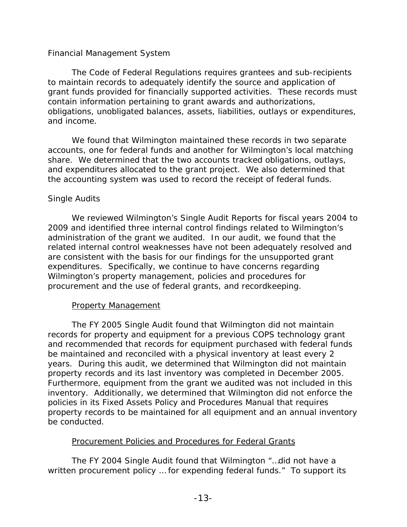## *Financial Management System*

The Code of Federal Regulations requires grantees and sub-recipients to maintain records to adequately identify the source and application of grant funds provided for financially supported activities. These records must contain information pertaining to grant awards and authorizations, obligations, unobligated balances, assets, liabilities, outlays or expenditures, and income.

We found that Wilmington maintained these records in two separate accounts, one for federal funds and another for Wilmington's local matching share. We determined that the two accounts tracked obligations, outlays, and expenditures allocated to the grant project. We also determined that the accounting system was used to record the receipt of federal funds.

## *Single Audits*

We reviewed Wilmington's Single Audit Reports for fiscal years 2004 to 2009 and identified three internal control findings related to Wilmington's administration of the grant we audited. In our audit, we found that the related internal control weaknesses have not been adequately resolved and are consistent with the basis for our findings for the unsupported grant expenditures. Specifically, we continue to have concerns regarding Wilmington's property management, policies and procedures for procurement and the use of federal grants, and recordkeeping.

## Property Management

The FY 2005 Single Audit found that Wilmington did not maintain records for property and equipment for a previous COPS technology grant and recommended that records for equipment purchased with federal funds be maintained and reconciled with a physical inventory at least every 2 years. During this audit, we determined that Wilmington did not maintain property records and its last inventory was completed in December 2005. Furthermore, equipment from the grant we audited was not included in this inventory. Additionally, we determined that Wilmington did not enforce the policies in its Fixed Assets Policy and Procedures Manual that requires property records to be maintained for all equipment and an annual inventory be conducted.

## Procurement Policies and Procedures for Federal Grants

The FY 2004 Single Audit found that Wilmington "…did not have a written procurement policy … for expending federal funds." To support its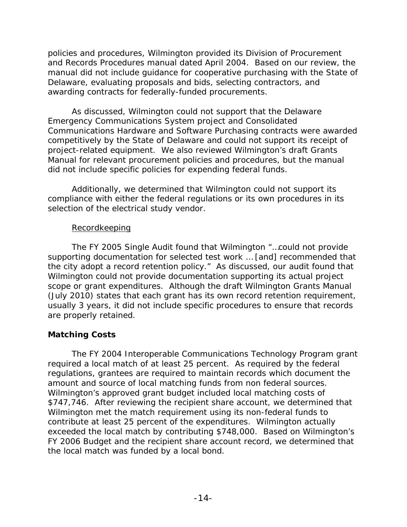policies and procedures, Wilmington provided its Division of Procurement and Records Procedures manual dated April 2004. Based on our review, the manual did not include guidance for cooperative purchasing with the State of Delaware, evaluating proposals and bids, selecting contractors, and awarding contracts for federally-funded procurements.

As discussed, Wilmington could not support that the Delaware Emergency Communications System project and Consolidated Communications Hardware and Software Purchasing contracts were awarded competitively by the State of Delaware and could not support its receipt of project-related equipment. We also reviewed Wilmington's draft Grants Manual for relevant procurement policies and procedures, but the manual did not include specific policies for expending federal funds.

Additionally, we determined that Wilmington could not support its compliance with either the federal regulations or its own procedures in its selection of the electrical study vendor.

## Recordkeeping

The FY 2005 Single Audit found that Wilmington "…could not provide supporting documentation for selected test work … [and] recommended that the city adopt a record retention policy." As discussed, our audit found that Wilmington could not provide documentation supporting its actual project scope or grant expenditures. Although the draft Wilmington Grants Manual (July 2010) states that each grant has its own record retention requirement, usually 3 years, it did not include specific procedures to ensure that records are properly retained.

## **Matching Costs**

The FY 2004 Interoperable Communications Technology Program grant required a local match of at least 25 percent. As required by the federal regulations, grantees are required to maintain records which document the amount and source of local matching funds from non federal sources. Wilmington's approved grant budget included local matching costs of \$747,746. After reviewing the recipient share account, we determined that Wilmington met the match requirement using its non-federal funds to contribute at least 25 percent of the expenditures. Wilmington actually exceeded the local match by contributing \$748,000. Based on Wilmington's FY 2006 Budget and the recipient share account record, we determined that the local match was funded by a local bond.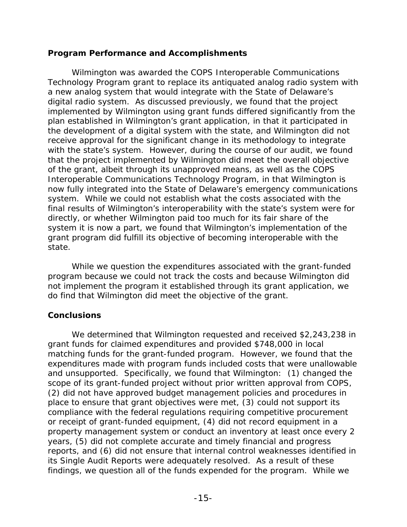## **Program Performance and Accomplishments**

Wilmington was awarded the COPS Interoperable Communications Technology Program grant to replace its antiquated analog radio system with a new analog system that would integrate with the State of Delaware's digital radio system. As discussed previously, we found that the project implemented by Wilmington using grant funds differed significantly from the plan established in Wilmington's grant application, in that it participated in the development of a digital system with the state, and Wilmington did not receive approval for the significant change in its methodology to integrate with the state's system. However, during the course of our audit, we found that the project implemented by Wilmington did meet the overall objective of the grant, albeit through its unapproved means, as well as the COPS Interoperable Communications Technology Program, in that Wilmington is now fully integrated into the State of Delaware's emergency communications system. While we could not establish what the costs associated with the final results of Wilmington's interoperability with the state's system were for directly, or whether Wilmington paid too much for its fair share of the system it is now a part, we found that Wilmington's implementation of the grant program did fulfill its objective of becoming interoperable with the state.

While we question the expenditures associated with the grant-funded program because we could not track the costs and because Wilmington did not implement the program it established through its grant application, we do find that Wilmington did meet the objective of the grant.

## **Conclusions**

We determined that Wilmington requested and received \$2,243,238 in grant funds for claimed expenditures and provided \$748,000 in local matching funds for the grant-funded program. However, we found that the expenditures made with program funds included costs that were unallowable and unsupported. Specifically, we found that Wilmington: (1) changed the scope of its grant-funded project without prior written approval from COPS, (2) did not have approved budget management policies and procedures in place to ensure that grant objectives were met, (3) could not support its compliance with the federal regulations requiring competitive procurement or receipt of grant-funded equipment, (4) did not record equipment in a property management system or conduct an inventory at least once every 2 years, (5) did not complete accurate and timely financial and progress reports, and (6) did not ensure that internal control weaknesses identified in its Single Audit Reports were adequately resolved. As a result of these findings, we question all of the funds expended for the program. While we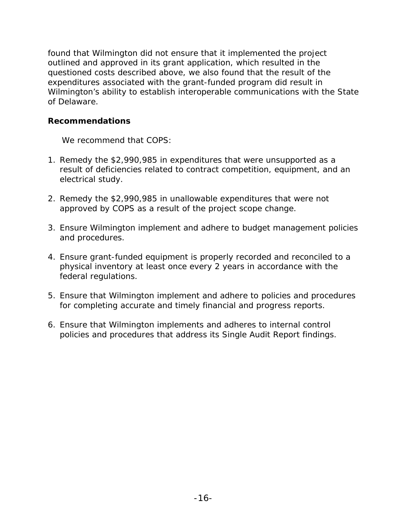found that Wilmington did not ensure that it implemented the project outlined and approved in its grant application, which resulted in the questioned costs described above, we also found that the result of the expenditures associated with the grant-funded program did result in Wilmington's ability to establish interoperable communications with the State of Delaware.

## **Recommendations**

We recommend that COPS:

- 1. Remedy the \$2,990,985 in expenditures that were unsupported as a result of deficiencies related to contract competition, equipment, and an electrical study.
- 2. Remedy the \$2,990,985 in unallowable expenditures that were not approved by COPS as a result of the project scope change.
- 3. Ensure Wilmington implement and adhere to budget management policies and procedures.
- 4. Ensure grant-funded equipment is properly recorded and reconciled to a physical inventory at least once every 2 years in accordance with the federal regulations.
- 5. Ensure that Wilmington implement and adhere to policies and procedures for completing accurate and timely financial and progress reports.
- 6. Ensure that Wilmington implements and adheres to internal control policies and procedures that address its Single Audit Report findings.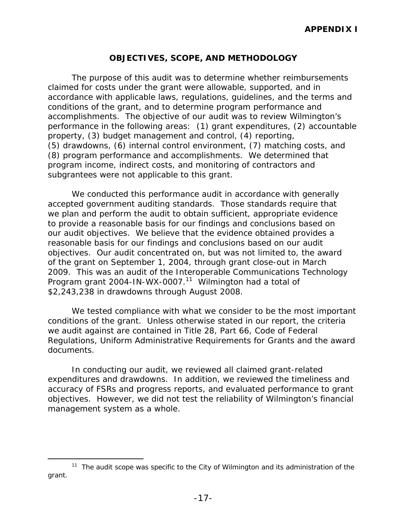## **OBJECTIVES, SCOPE, AND METHODOLOGY**

The purpose of this audit was to determine whether reimbursements claimed for costs under the grant were allowable, supported, and in accordance with applicable laws, regulations, guidelines, and the terms and conditions of the grant, and to determine program performance and accomplishments. The objective of our audit was to review Wilmington's performance in the following areas: (1) grant expenditures, (2) accountable property, (3) budget management and control, (4) reporting, (5) drawdowns, (6) internal control environment, (7) matching costs, and (8) program performance and accomplishments. We determined that program income, indirect costs, and monitoring of contractors and subgrantees were not applicable to this grant.

We conducted this performance audit in accordance with generally accepted government auditing standards. Those standards require that we plan and perform the audit to obtain sufficient, appropriate evidence to provide a reasonable basis for our findings and conclusions based on our audit objectives. We believe that the evidence obtained provides a reasonable basis for our findings and conclusions based on our audit objectives. Our audit concentrated on, but was not limited to, the award of the grant on September 1, 2004, through grant close-out in March 2009. This was an audit of the Interoperable Communications Technology Program grant 2004-IN-WX-0007.<sup>11</sup> Wilmington had a total of \$2,243,238 in drawdowns through August 2008.

We tested compliance with what we consider to be the most important conditions of the grant. Unless otherwise stated in our report, the criteria we audit against are contained in Title 28, Part 66, Code of Federal Regulations, Uniform Administrative Requirements for Grants and the award documents.

In conducting our audit, we reviewed all claimed grant-related expenditures and drawdowns. In addition, we reviewed the timeliness and accuracy of FSRs and progress reports, and evaluated performance to grant objectives. However, we did not test the reliability of Wilmington's financial management system as a whole.

 $\overline{a}$ 

 $11$  The audit scope was specific to the City of Wilmington and its administration of the grant.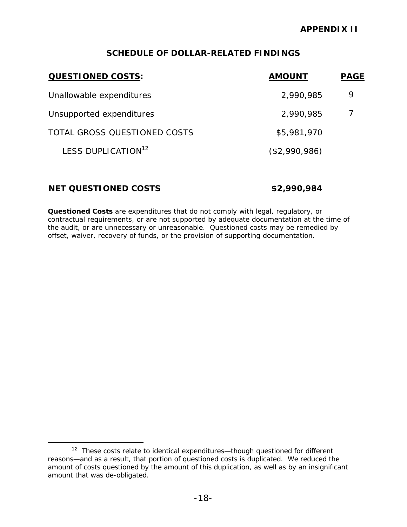## **SCHEDULE OF DOLLAR-RELATED FINDINGS**

| <b>QUESTIONED COSTS:</b>       | <b>AMOUNT</b> | <b>PAGE</b> |
|--------------------------------|---------------|-------------|
| Unallowable expenditures       | 2,990,985     | 9           |
| Unsupported expenditures       | 2,990,985     |             |
| TOTAL GROSS QUESTIONED COSTS   | \$5,981,970   |             |
| LESS DUPLICATION <sup>12</sup> | (\$2,990,986) |             |
|                                |               |             |

## **NET QUESTIONED COSTS \$2,990,984**

 $\overline{a}$ 

*Questioned Costs* are expenditures that do not comply with legal, regulatory, or contractual requirements, or are not supported by adequate documentation at the time of the audit, or are unnecessary or unreasonable. Questioned costs may be remedied by offset, waiver, recovery of funds, or the provision of supporting documentation.

<sup>&</sup>lt;sup>12</sup> These costs relate to identical expenditures—though questioned for different reasons—and as a result, that portion of questioned costs is duplicated. We reduced the amount of costs questioned by the amount of this duplication, as well as by an insignificant amount that was de-obligated.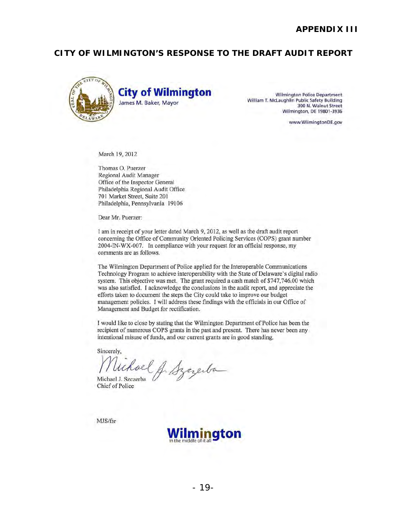### **CITY OF WILMINGTON'S RESPONSE TO THE DRAFT AUDIT REPORT**



William T. McLaughlin Public Safety Building<br>300 N. Walnut Street Wilmington. DE 19801·3936

www.WilmingtonDE.gov

March 19,2012

Thomas O. Puerzer Regional Audit Manager Office of the Inspector General Philadelphia Regional Audit Office 701 Market Street, Suite 201 Philadelphia, Pennsylvania 19106

Dear Mr. Puerzer:

I am in receipt of your letter dated March 9, 2012, as well as the draft audit report concerning the Office of Community Oriented Policing Services (COPS) grant number 2004-IN-WX-007. In compliance with your request for an official response, my comments are as follows.

The Wilmington Department of Police applied for the Interoperable Communications Technology Program to achieve interoperability with the State of Delaware's digital radio system. This objective was met. The grant required a cash match of \$747,746.00 which was also satisfied. I acknowledge the conclusions in the audit report, and appreciate the efforts taken to document the steps the City could take to improve our budget management policies. I will address these findings with the officials in our Office of Management and Budget for rectification.

I would like to close by stating that the Wilmington Department of Police has been the recipient of numerous COPS grants in the past and present. There has never been any intentional misuse of funds, and our current grants are in good standing.

Sincerely,

intentional misuse of funds, and our current grants are in good standing.<br>Sincerely,<br>Muchael J. Szczerba .<br>Michael J. Szczerba .<br>Chief of Police .

MJS/fsr

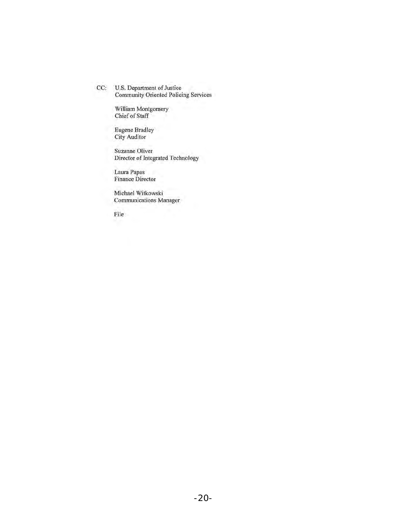CC: U.S. Department of Justice Community Oriented Policing Services

> William Montgomery Chief of Staff

Eugene Bradley City Auditor

Suzanne Oliver Director of Integrated Technology

Laura Papas Finance Director

Michael Witkowski Communications Manager

File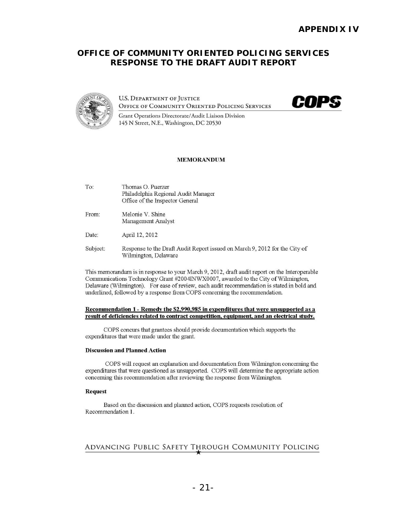### **OFFICE OF COMMUNITY ORIENTED POLICING SERVICES RESPONSE TO THE DRAFT AUDIT REPORT**



**U.S. DEPARTMENT OF JUSTICE** OFFICE OF COMMUNITY ORIENTED POLICING SERVICES



Grant Operations Directorate/ Audit Liaison Division 145 N Street, N.E., Washington, DC 20530

### MEMORANDUM

| To:      | Thomas O. Puerzer<br>Philadelphia Regional Audit Manager<br>Office of the Inspector General |
|----------|---------------------------------------------------------------------------------------------|
| From:    | Melonie V. Shine<br>Management Analyst                                                      |
| Date:    | April 12, 2012                                                                              |
| Subject: | Represented to the Draft Audit Report issued on March 0, 2012 for                           |

Subject: Response to the Draft Audit Report issued on March 9,2012 for the City of Wilmington, Delaware

This memorandum is in response to your March 9, 2012, draft audit report on the Interoperable Communications Technology Grant #2004INWX0007, awarded to the City of Wilmington, Delaware (Wilmington). For ease of review, each audit recommendation is stated in bold and underlined, followed by a response from COPS concerning the recommendation.

#### Recommendation 1- Remedv the \$2.990.985 **in** expenditures that were unsupported as a result of deficiencies related to contract competition, equipment, and an electrical study.

COPS concurs that grantees should provide documentation which supports the expenditures that were made under the grant.

### Discussion and Planned Action

COPS will request an explanation and documentation from Wilmington concerning the expenditures that were questioned as unsupported. COPS will detennine the appropriate action concerning this recommendation after reviewing the response from Wilmington

#### Request

Based on the discussion and plarmed action, COPS requests resolution of Recommendation 1.

# ADVANCING PUBLIC SAFETY THROUGH COMMUNITY POLICING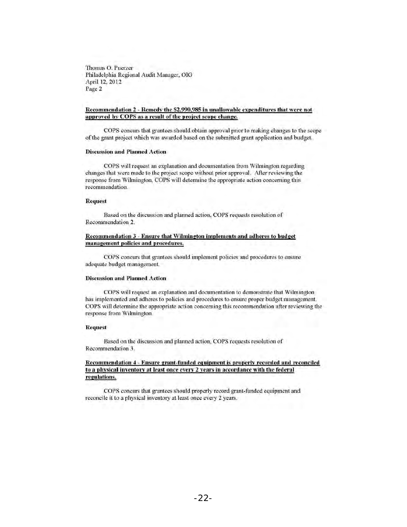Thomas O. Puerzer Philadelphia Regional Audit Manager, OIG April 12, 2012 Page 2

### Recommendation 2 - Remedy the \$2,990,985 in unallowable expenditures that were not approved by COPS as a result of the project scope change.

COPS concurs that grantees should obtain approval prior to making changes to the scope of the grant project which was awarded based on the submitted grant application and budget.

### Discussion and Planned Action

COPS will request an explanation and documentation from Wilmington regarding changes that were made to the projccl scope without prior approval. After reviewing the response from Wilmington, COPS will determine the appropriate action concerning this recommendation.

### Request

Based on the discussion and planned action, COPS requests resolution of Recommcndation 2.

#### Recommendation 3 - Ensure that Wilmington implements and adheres to budget management policies and procedures.

COPS concurs that grantees should implement policies and procedures to ensure adequate budget management.

#### Discussion and Planned Action

COPS will request an explanation and documentation to demonstrate that Wilmington has implemented and adheres to policies and procedures to ensure proper budget management. COPS will determine the appropriate action concerning this recommendation after reviewing the response from Wilmington.

#### Request

Based on the discussion and planned action, COPS requests resolution of Recommendation 3.

### Recommendation 4 - Ensure grant-funded equipment is properly recorded and reconciled to a physical inventory at least once every 2 years in accordance with the federal regulations.

COPS concurs that grantees should properly record grant-funded equipment and reconcile it to a physical inventory at least once every 2 years.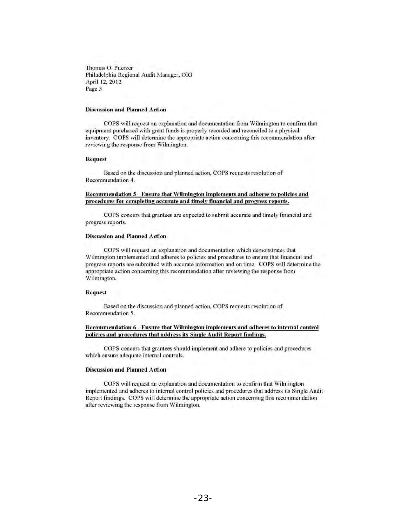Thomas O. Puerzer Philadelphia Regional Audit Manager, OIG April 12, 2012 Page 3

### **Discussion and Planned Action**

COPS will request an explanation and documentation from Wilmington to confirm that equipment purchased with grant funds is properly recorded and reconciled to a physical inventory. COPS will detennine the appropriate action conceming this recommendation after reviewing the response from Wilmington.

#### Request

Based on the discussion and planned action, COPS requcsts resolulion of Recommendation 4.

### Recommendation 5 - Ensure that Wilmington implements and adheres to policies and procedures for completing accurate and timely financial and progress reports.

COPS concurs that grantees are expected to submit accurate and timely financial and progress reports.

#### Discussion and Planned Action

COPS will request an explanation and documentation which demonstrates that Wilmington implemented and adheres to policies and procedures to ensure that financial and progress reports are submitted with accurate information and on time. COPS will determine the appropriate action concerning this recommendation after reviewing the response from Wilmington.

#### **Request**

Based on the discussion and planned action, COPS requests resolution of Recommendation 5.

#### Recommendation 6 - Ensure that Wilmington implements and adheres to internal control policies and procedures that address its Single Audit Report findings.

COPS concurs that grantees should implement and adhere to policies and procedures which ensure adequate intemal controls.

### Discussion and Planned Action

COPS will request an explanation and documentation to confirm that Wilmington implemented and adheres to internal control policies and procedures that address its Single Audit Report findings. COPS will determine the appropriate action concerning this recommendation after reviewing the response from Wilmington.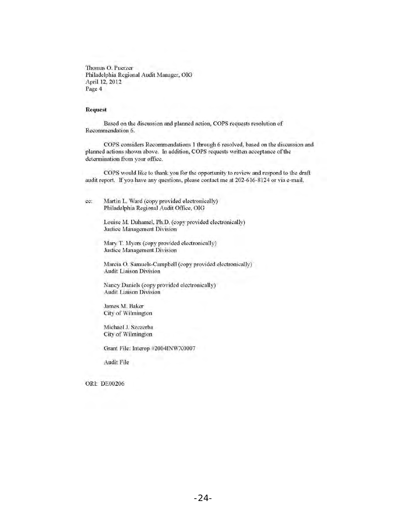Thomas O. Puerzer Philadelphia Regional Audit Manager, OIG April 12, 2012 Page 4

### **Request**

Based on the discussion and planned action, COPS requests resolution of Recommendation 6.

COPS considers Recommendations I through 6 resolved, based on the discussion and planned actions shown above. In addition, COPS requests written acceptance of the determination from your office.

COPS would like to thank you for the opportunity to review and respond to the draft audit report. If you have any questions, please contact me at 202-616-8124 or via e-mail.

ee: Martin L. Ward (copy provided electronically) Philadelphia Regional Audit Office, OIG

> Louise M. Duhamel, Ph.D. (copy provided electronically) Justice Management Division

Mary T. Myers (copy provided electronically) Justice Management Division

Marcia O. Samuels-Campbell (copy provided electronically) **Audit Liaison Division** 

Nancy Daniels (copy provided electronically) Audit Liaison Division

James M. Baker City of Wilmington

Michael J. Szczerba City of Wilmington

Grant File: Interop #2004INWX0007

Audit File

ORI: DE00206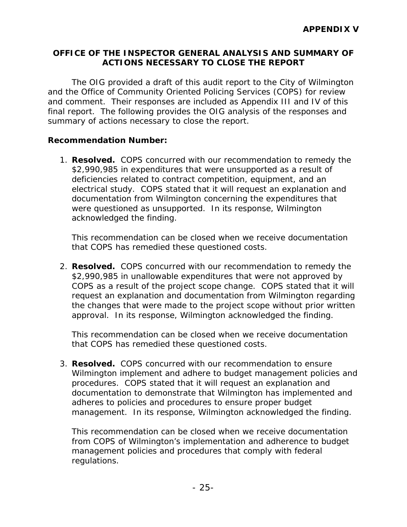## **OFFICE OF THE INSPECTOR GENERAL ANALYSIS AND SUMMARY OF ACTIONS NECESSARY TO CLOSE THE REPORT**

The OIG provided a draft of this audit report to the City of Wilmington and the Office of Community Oriented Policing Services (COPS) for review and comment. Their responses are included as Appendix III and IV of this final report. The following provides the OIG analysis of the responses and summary of actions necessary to close the report.

## **Recommendation Number:**

1. **Resolved.** COPS concurred with our recommendation to remedy the \$2,990,985 in expenditures that were unsupported as a result of deficiencies related to contract competition, equipment, and an electrical study. COPS stated that it will request an explanation and documentation from Wilmington concerning the expenditures that were questioned as unsupported. In its response, Wilmington acknowledged the finding.

This recommendation can be closed when we receive documentation that COPS has remedied these questioned costs.

2. **Resolved.** COPS concurred with our recommendation to remedy the \$2,990,985 in unallowable expenditures that were not approved by COPS as a result of the project scope change. COPS stated that it will request an explanation and documentation from Wilmington regarding the changes that were made to the project scope without prior written approval. In its response, Wilmington acknowledged the finding.

This recommendation can be closed when we receive documentation that COPS has remedied these questioned costs.

3. **Resolved.** COPS concurred with our recommendation to ensure Wilmington implement and adhere to budget management policies and procedures. COPS stated that it will request an explanation and documentation to demonstrate that Wilmington has implemented and adheres to policies and procedures to ensure proper budget management. In its response, Wilmington acknowledged the finding.

This recommendation can be closed when we receive documentation from COPS of Wilmington's implementation and adherence to budget management policies and procedures that comply with federal regulations.